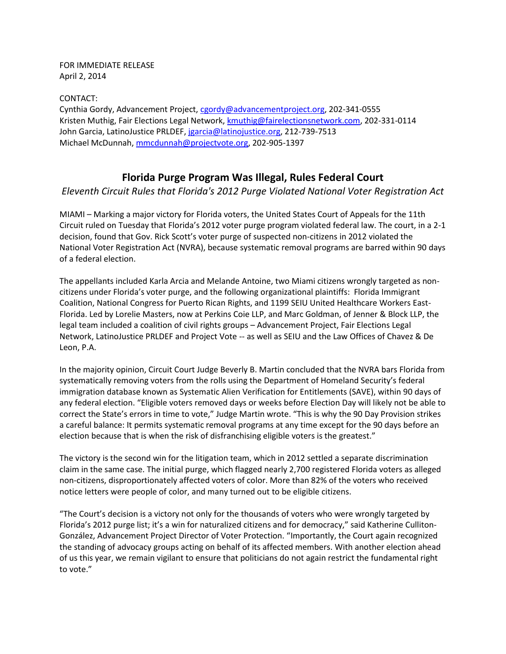FOR IMMEDIATE RELEASE April 2, 2014

CONTACT:

Cynthia Gordy, Advancement Project, [cgordy@advancementproject.org,](mailto:cgordy@advancementproject.org) 202-341-0555 Kristen Muthig, Fair Elections Legal Network[, kmuthig@fairelectionsnetwork.com,](mailto:kmuthig@fairelectionsnetwork.com) 202-331-0114 John Garcia, LatinoJustice PRLDEF, [jgarcia@latinojustice.org,](mailto:jgarcia@latinojustice.org) 212-739-7513 Michael McDunnah[, mmcdunnah@projectvote.org,](mailto:mmcdunnah@projectvote.org) 202-905-1397

## **Florida Purge Program Was Illegal, Rules Federal Court**

*Eleventh Circuit Rules that Florida's 2012 Purge Violated National Voter Registration Act*

MIAMI – Marking a major victory for Florida voters, the United States Court of Appeals for the 11th Circuit ruled on Tuesday that Florida's 2012 voter purge program violated federal law. The court, in a 2-1 decision, found that Gov. Rick Scott's voter purge of suspected non-citizens in 2012 violated the National Voter Registration Act (NVRA), because systematic removal programs are barred within 90 days of a federal election.

The appellants included Karla Arcia and Melande Antoine, two Miami citizens wrongly targeted as noncitizens under Florida's voter purge, and the following organizational plaintiffs: Florida Immigrant Coalition, National Congress for Puerto Rican Rights, and 1199 SEIU United Healthcare Workers East-Florida. Led by Lorelie Masters, now at Perkins Coie LLP, and Marc Goldman, of Jenner & Block LLP, the legal team included a coalition of civil rights groups – Advancement Project, Fair Elections Legal Network, LatinoJustice PRLDEF and Project Vote -- as well as SEIU and the Law Offices of Chavez & De Leon, P.A.

In the majority opinion, Circuit Court Judge Beverly B. Martin concluded that the NVRA bars Florida from systematically removing voters from the rolls using the Department of Homeland Security's federal immigration database known as Systematic Alien Verification for Entitlements (SAVE), within 90 days of any federal election. "Eligible voters removed days or weeks before Election Day will likely not be able to correct the State's errors in time to vote," Judge Martin wrote. "This is why the 90 Day Provision strikes a careful balance: It permits systematic removal programs at any time except for the 90 days before an election because that is when the risk of disfranchising eligible voters is the greatest."

The victory is the second win for the litigation team, which in 2012 settled a separate discrimination claim in the same case. The initial purge, which flagged nearly 2,700 registered Florida voters as alleged non-citizens, disproportionately affected voters of color. More than 82% of the voters who received notice letters were people of color, and many turned out to be eligible citizens.

"The Court's decision is a victory not only for the thousands of voters who were wrongly targeted by Florida's 2012 purge list; it's a win for naturalized citizens and for democracy," said Katherine Culliton-González, Advancement Project Director of Voter Protection. "Importantly, the Court again recognized the standing of advocacy groups acting on behalf of its affected members. With another election ahead of us this year, we remain vigilant to ensure that politicians do not again restrict the fundamental right to vote."